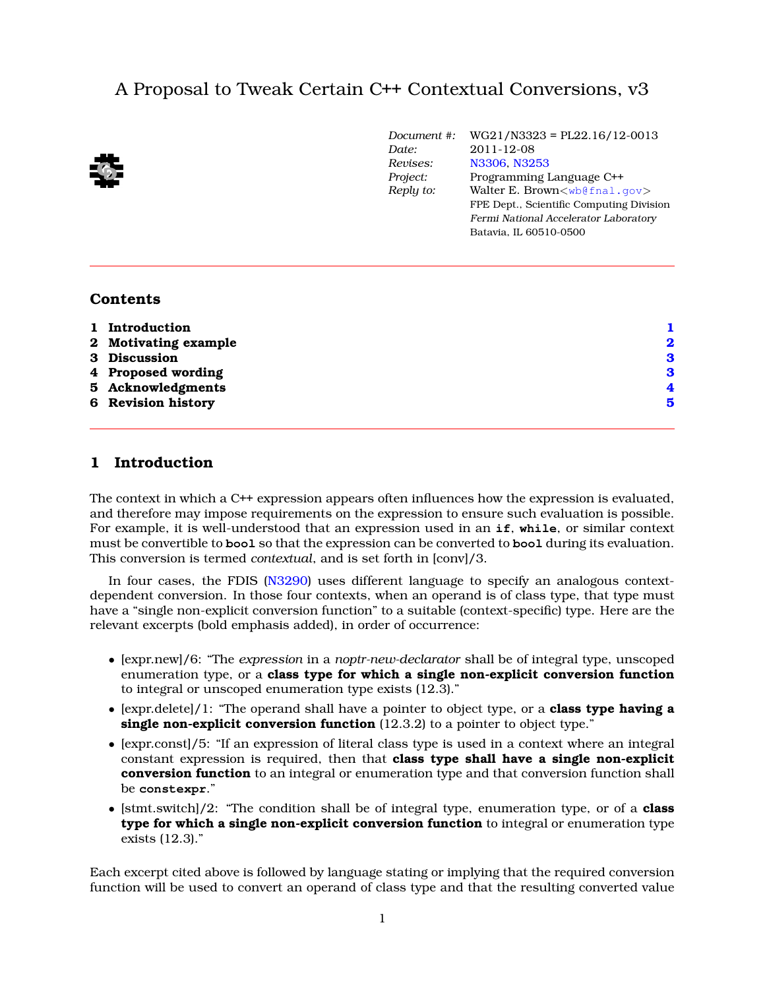# A Proposal to Tweak Certain C++ Contextual Conversions, v3



| Document #: | $WG21/N3323 = PL22.16/12-0013$           |  |
|-------------|------------------------------------------|--|
| Date:       | 2011-12-08                               |  |
| Revises:    | N3306 N3253                              |  |
| Project:    | Programming Language C++                 |  |
| Reply to:   | Walter E. Brown $\lt$ wb@fnal.gov>       |  |
|             | FPE Dept., Scientific Computing Division |  |
|             | Fermi National Accelerator Laboratory    |  |
|             | Batavia, IL 60510-0500                   |  |

### **Contents**

| 1 Introduction       |                  |
|----------------------|------------------|
| 2 Motivating example | $\boldsymbol{2}$ |
| 3 Discussion         | З                |
| 4 Proposed wording   | З                |
| 5 Acknowledgments    | 4                |
| 6 Revision history   | 5                |
|                      |                  |

## <span id="page-0-0"></span>**1 Introduction**

The context in which a C++ expression appears often influences how the expression is evaluated, and therefore may impose requirements on the expression to ensure such evaluation is possible. For example, it is well-understood that an expression used in an **if**, **while**, or similar context must be convertible to **bool** so that the expression can be converted to **bool** during its evaluation. This conversion is termed *contextual*, and is set forth in [conv]/3.

In four cases, the FDIS [\(N3290\)](http://www.open-std.org/jtc1/sc22/wg21/docs/papers/2010/n3290.pdf) uses different language to specify an analogous contextdependent conversion. In those four contexts, when an operand is of class type, that type must have a "single non-explicit conversion function" to a suitable (context-specific) type. Here are the relevant excerpts (bold emphasis added), in order of occurrence:

- [expr.new]/6: "The *expression* in a *noptr-new-declarator* shall be of integral type, unscoped enumeration type, or a **class type for which a single non-explicit conversion function** to integral or unscoped enumeration type exists (12.3)."
- [expr.delete]/1: "The operand shall have a pointer to object type, or a **class type having a single non-explicit conversion function** (12.3.2) to a pointer to object type."
- [expr.const]/5: "If an expression of literal class type is used in a context where an integral constant expression is required, then that **class type shall have a single non-explicit conversion function** to an integral or enumeration type and that conversion function shall be **constexpr**."
- [stmt.switch]/2: "The condition shall be of integral type, enumeration type, or of a **class type for which a single non-explicit conversion function** to integral or enumeration type exists (12.3)."

Each excerpt cited above is followed by language stating or implying that the required conversion function will be used to convert an operand of class type and that the resulting converted value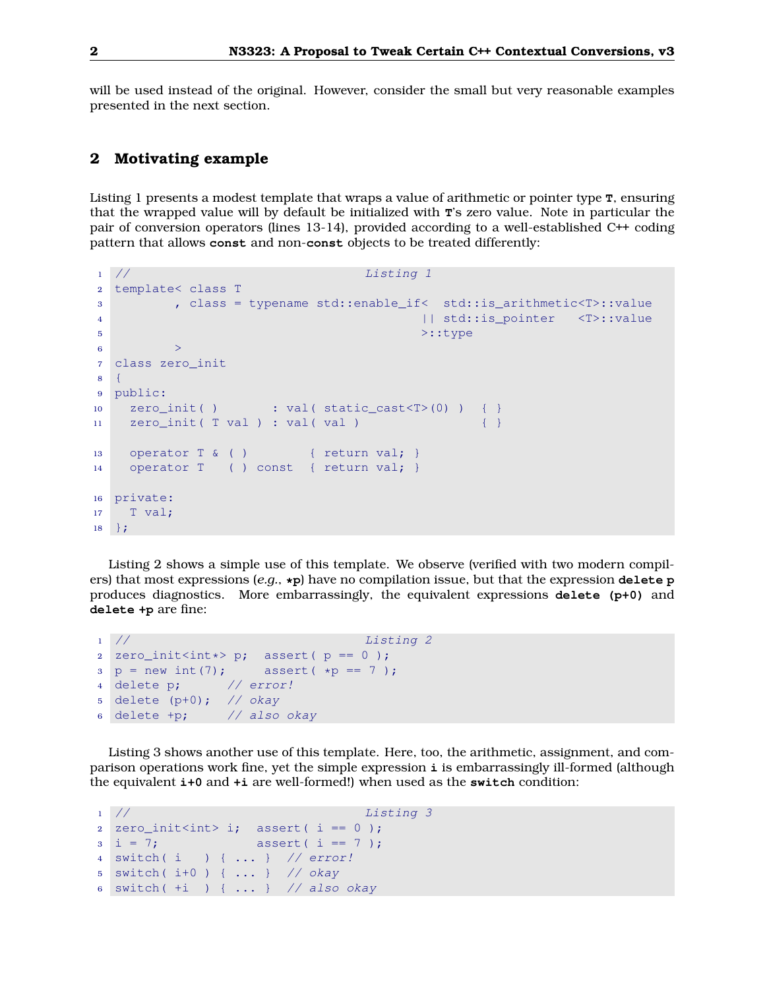<span id="page-1-0"></span>will be used instead of the original. However, consider the small but very reasonable examples presented in the next section.

#### **2 Motivating example**

Listing 1 presents a modest template that wraps a value of arithmetic or pointer type **T**, ensuring that the wrapped value will by default be initialized with **T**'s zero value. Note in particular the pair of conversion operators (lines 13-14), provided according to a well-established C++ coding pattern that allows **const** and non-**const** objects to be treated differently:

```
1 // Listing 1
2 template< class T
3 , class = typename std::enable_if< std::is_arithmetic<T>::value
4 \vert | std::is pointer <T>::value
5 >::type
6 >7 class zero_init
8 {
9 public:
10 zero_init( ) : val( static_cast<T>(0) ) { }
11 zero_init( T val ) : val( val ) { }
13 operator T & ( ) { return val; }
14 operator T ( ) const { return val; }
16 private:
17 T val;
18 } ;
```
Listing 2 shows a simple use of this template. We observe (verified with two modern compilers) that most expressions (*e.g.*, **\*p**) have no compilation issue, but that the expression **delete p** produces diagnostics. More embarrassingly, the equivalent expressions **delete (p+0)** and **delete +p** are fine:

```
1 // Listing 2
2 zero_init<int*> p; assert(p == 0);
3 p = new int(7); assert( *p == 7 );
4 delete p; // error!
5 delete (p+0); // okay6 delete +p; // also okay
```
Listing 3 shows another use of this template. Here, too, the arithmetic, assignment, and comparison operations work fine, yet the simple expression **i** is embarrassingly ill-formed (although the equivalent **i+0** and **+i** are well-formed!) when used as the **switch** condition:

```
1 // Listing 3
2 zero_init<int> i; assert( i == 0);
3 i = 7; assert( i == 7 );
4 switch( i ) { ... } // error!
5 switch( i+0 ) { ... } // okay
6 switch( +i ) { ... } // also okay
```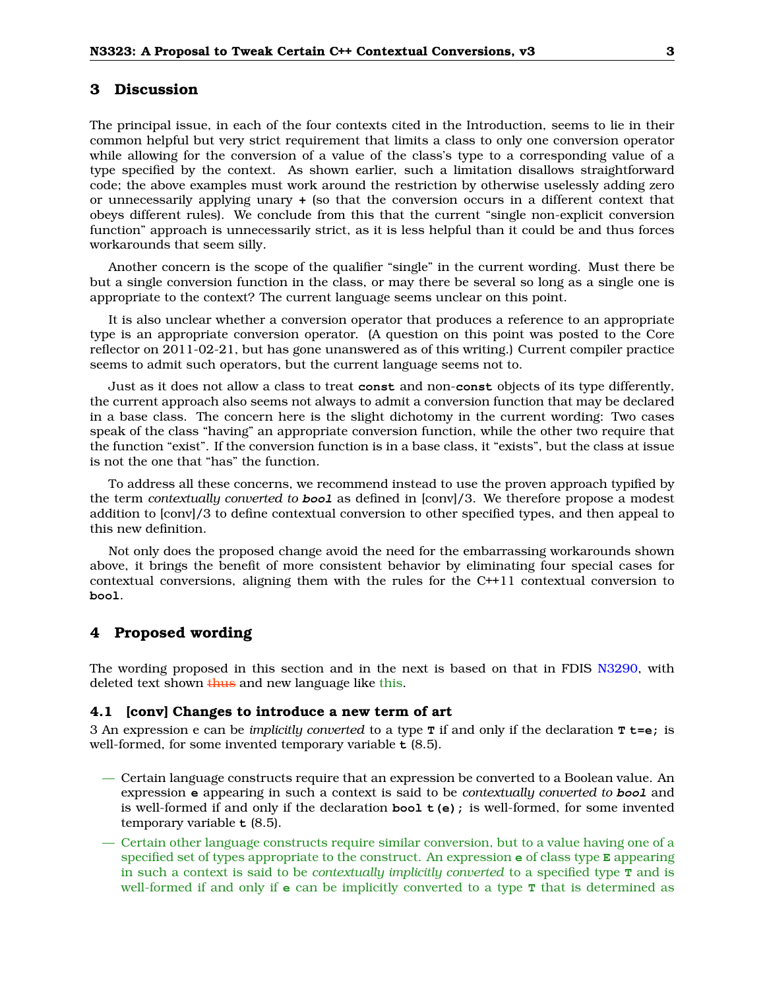#### <span id="page-2-0"></span>**3 Discussion**

The principal issue, in each of the four contexts cited in the Introduction, seems to lie in their common helpful but very strict requirement that limits a class to only one conversion operator while allowing for the conversion of a value of the class's type to a corresponding value of a type specified by the context. As shown earlier, such a limitation disallows straightforward code; the above examples must work around the restriction by otherwise uselessly adding zero or unnecessarily applying unary **+** (so that the conversion occurs in a different context that obeys different rules). We conclude from this that the current "single non-explicit conversion function" approach is unnecessarily strict, as it is less helpful than it could be and thus forces workarounds that seem silly.

Another concern is the scope of the qualifier "single" in the current wording. Must there be but a single conversion function in the class, or may there be several so long as a single one is appropriate to the context? The current language seems unclear on this point.

It is also unclear whether a conversion operator that produces a reference to an appropriate type is an appropriate conversion operator. (A question on this point was posted to the Core reflector on 2011-02-21, but has gone unanswered as of this writing.) Current compiler practice seems to admit such operators, but the current language seems not to.

Just as it does not allow a class to treat **const** and non-**const** objects of its type differently, the current approach also seems not always to admit a conversion function that may be declared in a base class. The concern here is the slight dichotomy in the current wording: Two cases speak of the class "having" an appropriate conversion function, while the other two require that the function "exist". If the conversion function is in a base class, it "exists", but the class at issue is not the one that "has" the function.

To address all these concerns, we recommend instead to use the proven approach typified by the term *contextually converted to* **bool** as defined in [conv]/3. We therefore propose a modest addition to [conv]/3 to define contextual conversion to other specified types, and then appeal to this new definition.

Not only does the proposed change avoid the need for the embarrassing workarounds shown above, it brings the benefit of more consistent behavior by eliminating four special cases for contextual conversions, aligning them with the rules for the C++11 contextual conversion to **bool**.

### <span id="page-2-1"></span>**4 Proposed wording**

The wording proposed in this section and in the next is based on that in FDIS [N3290,](http://www.open-std.org/jtc1/sc22/wg21/docs/papers/2011/n3290.pdf) with deleted text shown thus and new language like this.

#### **4.1 [conv] Changes to introduce a new term of art**

3 An expression e can be *implicitly converted* to a type **T** if and only if the declaration **T t=e;** is well-formed, for some invented temporary variable **t** (8.5).

- Certain language constructs require that an expression be converted to a Boolean value. An expression **e** appearing in such a context is said to be *contextually converted to* **bool** and is well-formed if and only if the declaration **bool t(e);** is well-formed, for some invented temporary variable **t** (8.5).
- Certain other language constructs require similar conversion, but to a value having one of a specified set of types appropriate to the construct. An expression **e** of class type **E** appearing in such a context is said to be *contextually implicitly converted* to a specified type **T** and is well-formed if and only if **e** can be implicitly converted to a type **T** that is determined as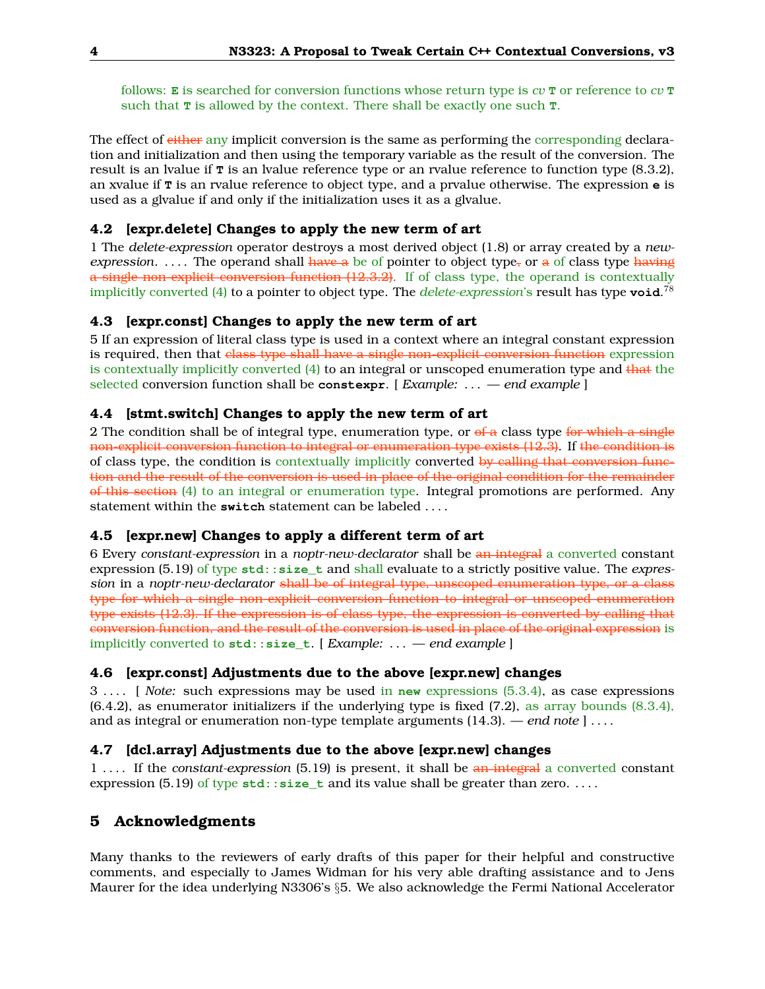follows: **E** is searched for conversion functions whose return type is *cv* **T** or reference to *cv* **T** such that **T** is allowed by the context. There shall be exactly one such **T**.

The effect of either any implicit conversion is the same as performing the corresponding declaration and initialization and then using the temporary variable as the result of the conversion. The result is an lvalue if **T** is an lvalue reference type or an rvalue reference to function type (8.3.2), an xvalue if **T** is an rvalue reference to object type, and a prvalue otherwise. The expression **e** is used as a glvalue if and only if the initialization uses it as a glvalue.

### **4.2 [expr.delete] Changes to apply the new term of art**

1 The *delete-expression* operator destroys a most derived object (1.8) or array created by a *newexpression.* .... The operand shall have a be of pointer to object type, or a of class type having a single non-explicit conversion function (12.3.2). If of class type, the operand is contextually implicitly converted (4) to a pointer to object type. The *delete-expression*'s result has type **void**. 78

### **4.3 [expr.const] Changes to apply the new term of art**

5 If an expression of literal class type is used in a context where an integral constant expression is required, then that class type shall have a single non-explicit conversion function expression is contextually implicitly converted  $(4)$  to an integral or unscoped enumeration type and that the selected conversion function shall be **constexpr**. [ *Example:* . . . — *end example* ]

#### **4.4 [stmt.switch] Changes to apply the new term of art**

2 The condition shall be of integral type, enumeration type, or  $\theta$  a class type for which a single non-explicit conversion function to integral or enumeration type exists (12.3). If the condition is of class type, the condition is contextually implicitly converted by calling that conversion function and the result of the conversion is used in place of the original condition for the remainder of this section (4) to an integral or enumeration type. Integral promotions are performed. Any statement within the **switch** statement can be labeled . . . .

#### **4.5 [expr.new] Changes to apply a different term of art**

6 Every *constant-expression* in a *noptr-new-declarator* shall be an integral a converted constant expression (5.19) of type **std::size\_t** and shall evaluate to a strictly positive value. The *expression* in a *noptr-new-declarator* shall be of integral type, unscoped enumeration type, or a class type for which a single non-explicit conversion function to integral or unscoped enumeration type exists (12.3). If the expression is of class type, the expression is converted by calling that conversion function, and the result of the conversion is used in place of the original expression is implicitly converted to **std::size\_t**. [ *Example:* . . . — *end example* ]

#### **4.6 [expr.const] Adjustments due to the above [expr.new] changes**

3 . . . . [ *Note:* such expressions may be used in **new** expressions (5.3.4), as case expressions (6.4.2), as enumerator initializers if the underlying type is fixed (7.2), as array bounds (8.3.4), and as integral or enumeration non-type template arguments (14.3). — *end note* ] . . . .

#### **4.7 [dcl.array] Adjustments due to the above [expr.new] changes**

1 . . . . If the *constant-expression* (5.19) is present, it shall be an integral a converted constant expression (5.19) of type std::size\_t and its value shall be greater than zero. . . . .

# <span id="page-3-0"></span>**5 Acknowledgments**

Many thanks to the reviewers of early drafts of this paper for their helpful and constructive comments, and especially to James Widman for his very able drafting assistance and to Jens Maurer for the idea underlying N3306's §5. We also acknowledge the Fermi National Accelerator